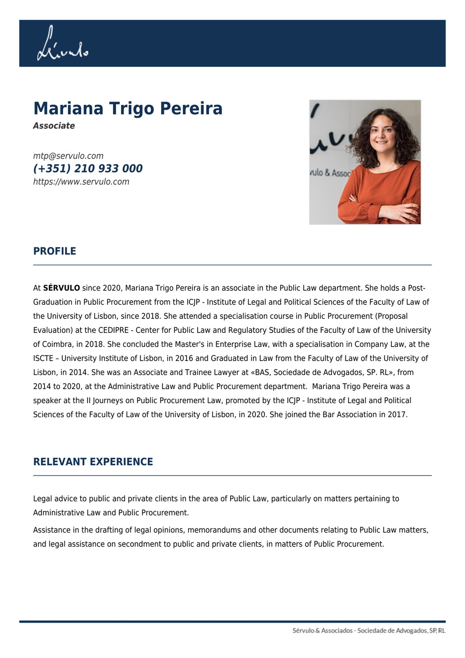Li'undo

## **Mariana Trigo Pereira**

*Associate*

mtp@servulo.com *(+351) 210 933 000* https://www.servulo.com



## **PROFILE**

At **SÉRVULO** since 2020, Mariana Trigo Pereira is an associate in the Public Law department. She holds a Post-Graduation in Public Procurement from the ICJP - Institute of Legal and Political Sciences of the Faculty of Law of the University of Lisbon, since 2018. She attended a specialisation course in Public Procurement (Proposal Evaluation) at the CEDIPRE - Center for Public Law and Regulatory Studies of the Faculty of Law of the University of Coimbra, in 2018. She concluded the Master's in Enterprise Law, with a specialisation in Company Law, at the ISCTE – University Institute of Lisbon, in 2016 and Graduated in Law from the Faculty of Law of the University of Lisbon, in 2014. She was an Associate and Trainee Lawyer at «BAS, Sociedade de Advogados, SP. RL», from 2014 to 2020, at the Administrative Law and Public Procurement department. Mariana Trigo Pereira was a speaker at the II Journeys on Public Procurement Law, promoted by the ICJP - Institute of Legal and Political Sciences of the Faculty of Law of the University of Lisbon, in 2020. She joined the Bar Association in 2017.

## **RELEVANT EXPERIENCE**

Legal advice to public and private clients in the area of Public Law, particularly on matters pertaining to Administrative Law and Public Procurement.

Assistance in the drafting of legal opinions, memorandums and other documents relating to Public Law matters, and legal assistance on secondment to public and private clients, in matters of Public Procurement.